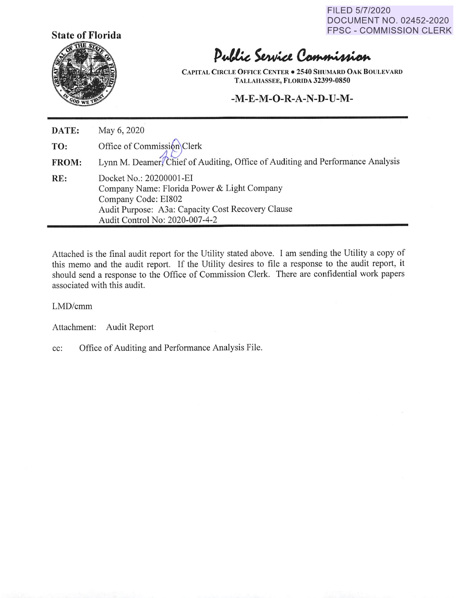FILED 5/7/2020 DOCUMENT NO. 02452-2020 FPSC - COMMISSION CLERK



# Public Service Commission

**CAPITAL CIRCLE OFFICE CENTER• 2540 SHUMARD OAK BOULEVARD TALLAHASSEE, FLORIDA 32399-0850** 

## **-M-E-M-O-R-A-N-D-U-M-**

| DATE: | May 6, 2020                                                                                                                                                                          |
|-------|--------------------------------------------------------------------------------------------------------------------------------------------------------------------------------------|
| TO:   | Office of Commission Clerk                                                                                                                                                           |
| FROM: | Lynn M. Deamer/Chief of Auditing, Office of Auditing and Performance Analysis                                                                                                        |
| RE:   | Docket No.: 20200001-EI<br>Company Name: Florida Power & Light Company<br>Company Code: EI802<br>Audit Purpose: A3a: Capacity Cost Recovery Clause<br>Audit Control No: 2020-007-4-2 |

Attached is the final audit report for the Utility stated above. I am sending the Utility a copy of this memo and the audit report. If the Utility desires to file a response to the audit report, it should send a response to the Office of Commission Clerk. There are confidential work papers associated with this audit.

LMD/cmm

Attachment: Audit Report

cc: Office of Auditing and Performance Analysis File.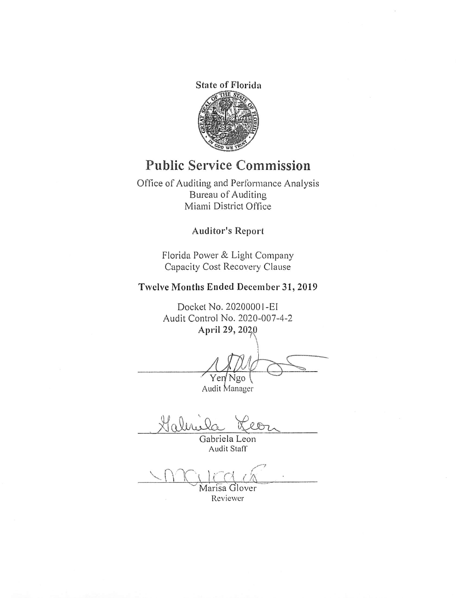

# **Public Service Commission**

Office of Auditing and Performance Analysis Bureau of Auditing Miami District Office

### **Auditor's Report**

Florida Power & Light Company Capacity Cost Recovery Clause

## **Twelve Months Ended December 31, 2019**

Docket No. 2020000 I -EI Audit Control No. 2020-007-4-2 April 29, 2020

ntrol No. 2020-007-4-2<br>April 29, 2020<br>Yer Ngo<br>Audit Manager  $\overline{a}$ 

Yen Ngo \<br>Audit Manager

Haline

Gabriela Leon Audit Staff

Marisa Glover

Reviewer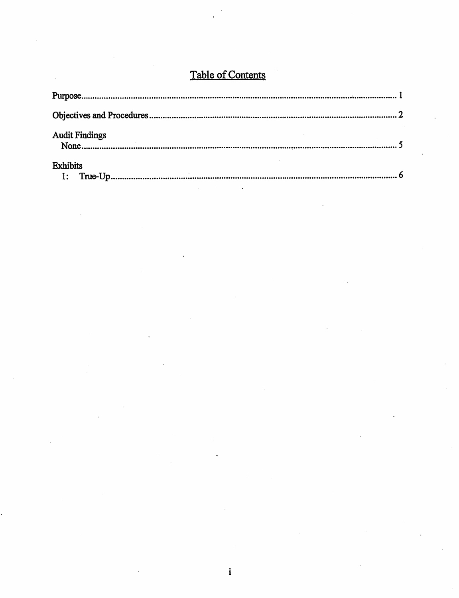# Table of Contents

| <b>Audit Findings</b>             |  |
|-----------------------------------|--|
| <b>Exhibits</b><br>$\mathbf{1}$ : |  |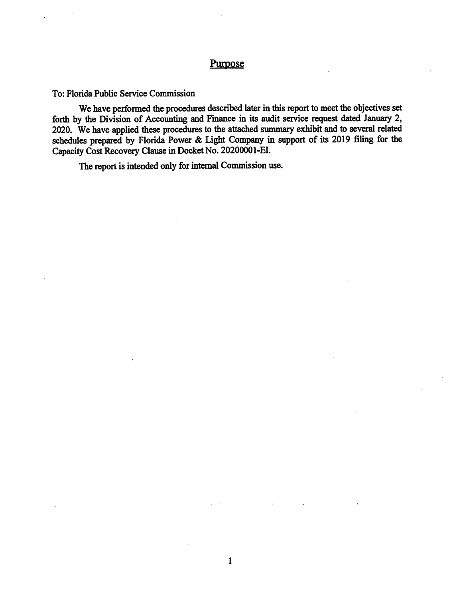### Purpose

To: Florida Public Service Commission

We have performed the procedures described later in this report to meet the objectives set forth by the Division of Accounting and Finance in its audit service request dated January 2, 2020. We have applied these procedures to the attached summary exhibit and to several related schedules prepared by Florida Power & Light Company in support of its 2019 filing for the Capacity Cost Recovery Clause in Docket No. 20200001-EI.

1

The report is intended only for internal Commission use.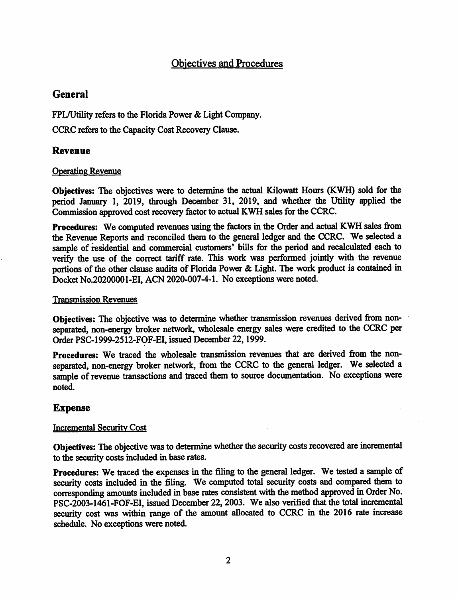## Objectives and Procedures

## **General**

FPL/Utility refers to the Florida Power & Light Company.

CCRC refers to the Capacity Cost Recovery Clause.

### **Revenue**

### Operating Revenue

**Objectives:** The objectives· were to determine the actual Kilowatt Hours (KWH) sold for the period January 1, 2019, through December 31, 2019, and whether the Utility applied the Commission approved cost recovery factor to actual KWH sales for the CCRC.

**Procedures:** We computed revenues using the factors in the Order and actual KWH sales from the Revenue Reports and reconciled them to the general ledger and the CCRC. We selected a sample of residential and commercial customers' bills for the period and recalculated each to verify the use of the correct tariff rate. This work was perfonned jointly with the revenue portions of the other clause audits of Florida Power & Light. The work product is contained in Docket No.20200001-EI, ACN 2020-007-4-1. No exceptions were noted.

### Transmission Revenues

**Objectives:** The objective was to determine whether transmission revenues derived from nonseparated, non-energy broker network, wholesale energy sales were credited to the CCRC per Order PSC-1999-2512-FOF-EI, issued December 22, 1999.

**Procedures:** We traced the wholesale transmission revenues that are derived from the nonseparated, non-energy broker network, from the CCRC to the general ledger. We selected a sample of revenue transactions and traced them to source documentation. No exceptions were noted.

## **Expense**

### Incremental Security Cost

**Objectives:** The objective was to determine whether the security costs recovered are incremental to the security costs included in base rates.

**Procedures:** We traced the expenses in the filing to the general ledger. We tested a sample of security costs included in the filing. We computed total security costs and compared them to corresponding amounts included in base rates consistent with the method approved in Order No. PSC-2003-1461-FOF-EI, issued December 22, 2003. We also verified that the total incremental security cost was within range of the amount allocated to CCRC in the 2016 rate increase schedule. No exceptions were noted.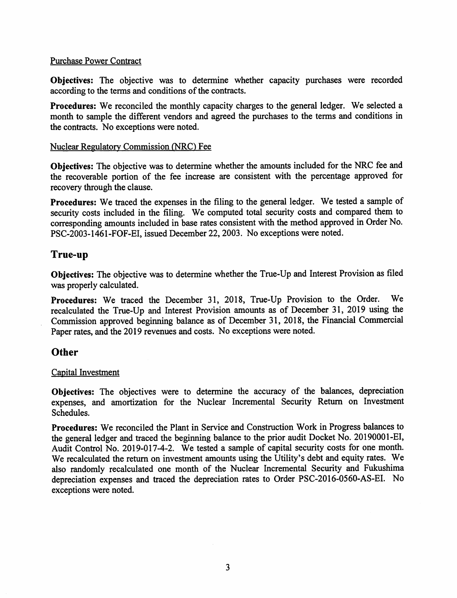#### Purchase Power Contract

**Objectives:** The objective was to determine whether capacity purchases were recorded according to the terms and conditions of the contracts.

**Procedures:** We reconciled the monthly capacity charges to the general ledger. We selected a month to sample the different vendors and agreed the purchases to the terms and conditions in the contracts. No exceptions were noted.

#### Nuclear Regulatory Commission <NRC) Fee

**Objectives:** The objective was to determine whether the amounts included for the NRC fee and the recoverable portion of the fee increase are consistent with the percentage approved for recovery through the clause.

**Procedures:** We traced the expenses in the filing to the general ledger. We tested a sample of security costs included in the filing. We computed total security costs and compared them to corresponding amounts included in base rates consistent with the method approved in Order No. PSC-2003-1461-FOF-EI, issued December 22, 2003. No exceptions were noted.

### **True-up**

**Objectives:** The objective was to determine whether the True-Up and Interest Provision as filed was properly calculated.

**Procedures:** We traced the December 31, 2018, True-Up Provision to the Order. We recalculated the True-Up and Interest Provision amounts as of December 31, 2019 using the Commission approved beginning balance as of December 31, 2018, the Financial Commercial Paper rates, and the 2019 revenues and costs. No exceptions were noted.

### **Other**

#### Capital Investment

**Objectives:** The objectives were to determine the accuracy of the balances, depreciation expenses, and amortization for the Nuclear Incremental Security Return on Investment Schedules.

**Procedures:** We reconciled the Plant in Service and Construction Work in Progress balances to the general ledger and traced the beginning balance to the prior audit Docket No. 20190001-EI, Audit Control No. 2019-017-4-2. We tested a sample of capital security costs for one month. We recalculated the return on investment amounts using the Utility's debt and equity rates. We also randomly recalculated one month of the Nuclear Incremental Security and Fukushima depreciation expenses and traced the depreciation rates to Order PSC-2016-0560-AS-EI. No exceptions were noted.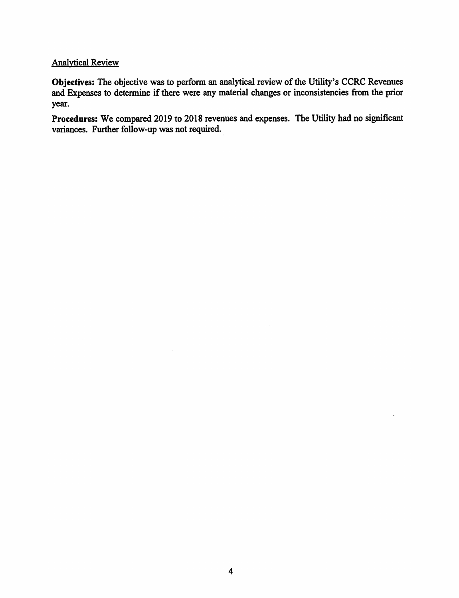### Analytical Review

Objectives: The objective was to perform an analytical review of the Utility's CCRC Revenues and Expenses to determine if there were any material changes or inconsistencies from the prior year.

**Procedures:** We compared 2019 to 2018 revenues and expenses. The Utility had no significant variances. Further follow-up was not required.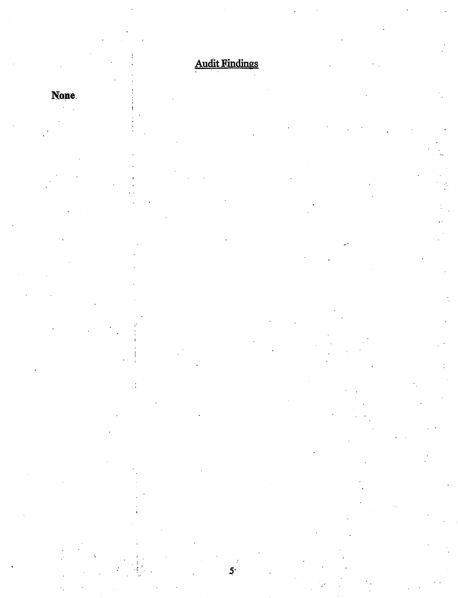# **Audit Findings**

5٠

**None**  $\mathcal{L}^{\text{max}}$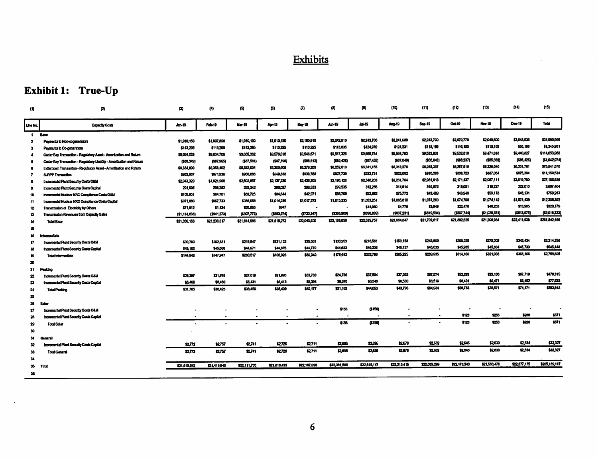# Exhibits

# Exhibit 1: True-Up

 $\langle \cdot \rangle$ 

| (1)                | Ø                                                                      | Ø)            | $\langle 4 \rangle$ | Ø)            | 69                       | m             | (d)          | (F)           | (10)         | (11)         | (12)         | (13)          | (14)         | (15)          |
|--------------------|------------------------------------------------------------------------|---------------|---------------------|---------------|--------------------------|---------------|--------------|---------------|--------------|--------------|--------------|---------------|--------------|---------------|
| Lihe No.           | Capacity Costs                                                         | <b>Jen-19</b> | Feb-19              | <b>Mar-19</b> | Apr-19                   | <b>Mar-19</b> | $tan-19$     | 34-19         | Auo-19       | Sep-19       | $04-19$      | <b>Nov-19</b> | Dec-19       | <b>Total</b>  |
| $\mathbf{1}$       | Base                                                                   |               |                     |               |                          |               |              |               |              |              |              |               |              |               |
| $\overline{2}$     | Payments to Non-cogenerators                                           | \$1,910,150   | \$1,907,896         | \$1,910,150   | \$1,910,150              | \$2,180,918   | \$2,242.910  | \$2,243,700   | \$2,241,529  | \$2,243,700  | \$2,070,770  | \$2,049,600   | \$2,048,935  | \$24,960,566  |
| э                  | Payments to Co-generators                                              | \$113,205     | \$113,295           | \$113,295     | \$113,295                | \$113,295     | \$113,635    | \$124,970     | \$124,231    | \$118.165    | \$116,155    | \$118.165     | \$68,166     | \$1,345,981   |
| 4                  | Cedar Bay Transaction - Regulatory Assot - Amortzation and Ratum       |               | \$9,634,708         | \$9,605,362   | \$9,576,016              | \$9546.671    | \$9,517,325  | \$9,595,784   | \$9,564,793  | \$9,533,801  | \$9,502,810  | \$9,471,818   | \$9,440,827  | \$114,653,968 |
| 5                  | Cedar Bay Transaction - Regulatory Listsibly - Amortization and Return | (553,345)     | (187,965)           | (557, 581)    | (557, 195)               | (\$56.612)    | (\$86,428)   | (\$87,455)    | (\$87,049)   | (\$88,643)   | (\$86,237)   | (\$85,032)    | (555, 426)   | (\$1,042,974) |
|                    | Indianiown Transaction - Regulatory Asset - Amortization and Return    | \$6,384,000   | \$6,358,402         | \$8,332,004   | \$6,305,606              | \$6,279,208   | \$6,252,810  | \$6,341,155   | \$6,313,276  | \$6,285,397  | \$6,257,519  | \$6,229,040   | \$6,201,761  | \$75,541,578  |
|                    | SJRPP Transaction                                                      | \$982.967     | \$971,938           | \$960,888     | \$949,838                | \$938,788     | \$927.739    | \$333,731     | \$922,002    | \$910,353    | \$850.723    | \$887,054     | \$875,384    | \$11,159,524  |
|                    | <b>Incremental Plant Security Costs O&amp;M</b>                        | \$2,043,320   | \$1,921,966         | \$2,502,657   | \$2,137,230              | \$2,436,305   | \$2,198,128  | \$2,346,203   | \$2,261,704  | \$2,081,018  | \$2,171,437  | \$2,067,111   | \$3,019,780  | \$27,186,856  |
| $\mathbf{a}$       | Incremental Plant Security Costs Capital                               | 291,696       | 298,282             | 298,346       | 298,027                  | 290.533       | 299.535      | 312.265       | 314,814      | 315,678      | 312.051      | 319,227       | 322,010      | 3,637,464     |
| 10                 | transmerial Nuclear NRC Compliance Costs OAM                           | \$105.951     | \$84,701            | \$52.725      | \$84,044                 | \$42.971      | \$56,769     | \$52.982      | \$75,772     | 543,439      | \$4369       | \$59,178      | \$43.131     | \$759,253     |
| 11                 | Incremental Nuclear NRC Comptianos Costs Capital                       | \$971,088     | \$967.733           | \$986.058     | \$1,014,289              | \$1,017,273   | \$1,015,335  | \$1,053,251   | \$1,065,810  | \$1,074.209  | \$1,074,708  | \$1,074,142   | \$1,074,439  | \$12,388,392  |
| 12                 | Transmission of Electricity by Others                                  | \$71,812      | \$1,134             | \$38,055      | \$947                    |               |              | \$14,060      | \$4,778      | \$3.543      | \$22,478     | \$48.255      | \$13.905     | \$220,179     |
| 13                 | Transmission Revenues from Capacity Sales                              | (\$1,114,638) | (1941,273)          | (5507, 773)   | (1683,574)               | (5723,347)    | (\$368,909)  | (\$390.893)   | (\$837,231)  | (\$619,594)  | (\$587,744)  | (\$1,029,374) | (\$813,975)  | (\$9,018,333) |
| 14                 | <b>Total Base</b>                                                      | \$21,336,163  | \$21,230,817        | \$21,814,996  | \$21,619,272             | \$22,043,600  | \$22,158,850 | \$22,539,757  | \$21,964,647 | \$21,702,617 | \$21,802,625 | \$21,206,984  | \$22,411,938 | \$261,842,466 |
| 15                 |                                                                        |               |                     |               |                          |               |              |               |              |              |              |               |              |               |
| 18                 | intermediate                                                           |               |                     |               |                          |               |              |               |              |              |              |               |              |               |
| 17                 | <b>Incremental Plant Security Costs O&amp;M</b>                        | \$99,780      | \$102,881           | \$215,547     | \$121,152                | \$35,561      | \$133,959    | \$216,561     | \$159,158    | \$243,859    | \$253.225    | \$275,202     | \$342.434    | \$2,214,358   |
| 18                 | Incremental Plant Security Costs Capital                               | \$45.152      | \$45,066            | \$44.971      | \$44,575                 | \$44,779      | \$44,533     | \$45.238      | \$48.137     | \$45,035     | \$45,935     | \$45,834      | \$45,733     | \$545,448     |
| 19                 | Total triarmediate                                                     | \$144.942     | \$147,947           | \$200.517     | \$158,026                | \$80,340      | \$178,642    | \$262,799     | \$205.205    | \$289,935    | \$314,100    | \$321,036     | \$388,186    | \$2,759,805   |
| 20                 |                                                                        |               |                     |               |                          |               |              |               |              |              |              |               |              |               |
| 21                 | Pesking                                                                |               |                     |               |                          |               |              |               |              |              |              |               |              |               |
| $\boldsymbol{z}$   | Incremental Plant Security Costs O&M                                   | \$25,297      | \$31,578            | \$27,019      | \$21,996                 | \$33,703      | \$24,708     | \$37,504      | \$37,265     | \$97.571     | \$52.203     | \$29,100      | \$57,719     | \$478.315     |
| $\bf{z}$           | Incremental Pient Security Costs Capital                               | \$5,458       | \$5,450             | \$5.431       | \$3,413                  | \$5.394       | \$6,376      | \$3,549       | \$6,530      | \$6.510      | \$5,491      | \$5.471       | \$5,452      | \$77,533      |
| 24                 | <b>Total Peaking</b>                                                   | \$31,705      | \$38,428            | \$33.450      | \$28,409                 | \$40.177      | \$31,152     | <b>SALOS3</b> | \$43,795     | \$94,084     | \$56,783     | \$35.571      | 874.171      | \$553,048     |
| 25                 |                                                                        |               |                     |               |                          |               |              |               |              |              |              |               |              |               |
| 28                 | <b>Solar</b>                                                           |               |                     |               |                          |               |              |               |              |              |              |               |              |               |
| $\boldsymbol{\pi}$ | <b>Incremental Plant Security Costs O&amp;M</b>                        | $\bullet$     | $\blacksquare$      | $\bullet$     |                          | ٠             | \$156        | (1156)        |              |              |              |               |              |               |
| 25                 | Incrementel Plant Security Costs Capitel                               | ٠             | ۰                   | $\bullet$     | $\overline{\phantom{a}}$ | $\bullet$     |              |               | $\bullet$    | $\bullet$    | \$120        | \$256         | \$285        | \$971         |
| 29                 | <b>Total Scient</b>                                                    |               |                     |               |                          |               | \$158        | (1155)        |              |              | \$128        | \$258         | \$280        | \$571         |
| 30                 |                                                                        |               |                     |               |                          |               |              |               |              |              |              |               |              |               |
| 31                 | General                                                                |               |                     |               |                          |               |              |               |              |              |              |               |              |               |
| 32                 | Incremental Plant Security Costs Capital                               | 52,772        | \$2757              | \$2,741       | \$2726                   | \$2,711       | \$2,695      | \$2,695       | \$2,678      | \$2,652      | \$2,646      | \$2,530       | \$2.614      | \$32,327      |
| $\mathbf{33}$      | <b>Total General</b>                                                   | \$2.772       | \$2,757             | \$2,741       | \$2.726                  | \$2.711       | \$2,635      | \$2,695       | \$2,678      | \$2,662      | \$2,548      | \$2,630       | \$2.614      | \$32.327      |
| 34                 |                                                                        |               |                     |               |                          |               |              |               |              |              |              |               |              |               |
| 35                 | Total                                                                  | \$21,515,642  | \$21,419,948        | \$22,111,705  | \$21,818,433             | \$22,157,028  | \$22,381,506 | \$22,849,147  | \$22,215,415 | \$22,089.299 | \$22,178,343 | \$21,566,478  | \$22,077.175 | \$265,189,117 |
| 36                 |                                                                        |               |                     |               |                          |               |              |               |              |              |              |               |              |               |
|                    |                                                                        |               |                     |               |                          |               |              |               |              |              |              |               |              |               |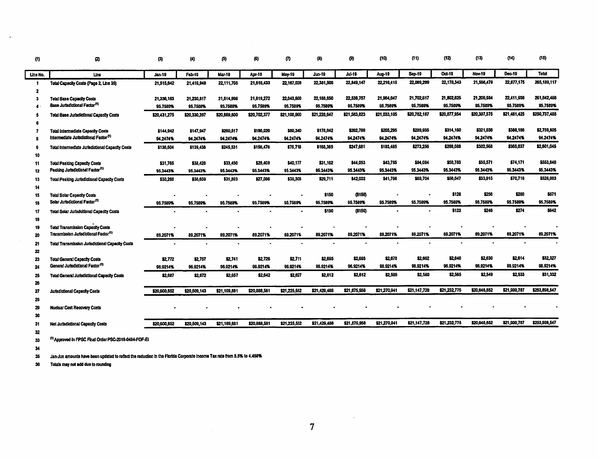| (1)      | Ø                                                                                             | (3)           | $\langle 4 \rangle$ | (5)          | (6)          | ത             | (B)           | 0             | (10)         | (11)         | (12)         | (13)          | (14)         | (15)          |
|----------|-----------------------------------------------------------------------------------------------|---------------|---------------------|--------------|--------------|---------------|---------------|---------------|--------------|--------------|--------------|---------------|--------------|---------------|
| Line No. | Line                                                                                          | <b>Jan-19</b> | <b>Feb-19</b>       | Mar-19       | Apr-19       | <b>May-19</b> | <b>Jun-19</b> | <b>Jul-19</b> | Aug-19       | Sep-19       | Oct-19       | <b>Nov-19</b> | Dec-19       | <b>Total</b>  |
| -1<br>2  | Total Capacity Costs (Page 2, Line 35)                                                        | 21,515,642    | 21,419,948          | 22,111,705   | 21,816,433   | 22,167,028    | 22,381,508    | 22,849,147    | 22,218,415   | 22,089,299   | 22,178,343   | 21,566,478    | 22,877,175   | 265, 189, 117 |
| 3        | <b>Total Base Capacity Costs</b>                                                              | 21,336,163    | 21,230,817          | 21,814,998   | 21,619,272   | 22,043,600    | 22,188,850    | 22,539,757    | 21,964,647   | 21,702,617   | 21,802,625   | 21,208,934    | 22,411,938   | 261, 842, 488 |
| 4        | Base Jurisdictional Factor <sup>(1)</sup>                                                     | 95.7589%      | 95.7589%            | 95.7589%     | 95.7589%     | 05.7589%      | 95.7589%      | 95.7589%      | 95.7589%     | 95.7589%     | 95,7589%     | 95.7589%      | 95.7589%     | 95.7589%      |
| s        | Total Base Jurisdictional Capacity Costs                                                      | \$20,431,275  | \$20,330,397        | \$20,889,800 | \$20,702,377 | \$21,103,900  | \$21,228,647  | \$21,583,823  | \$21,033,105 | \$20,782,187 | \$20,877,954 | \$20,307,575  | \$21,481,425 | \$250,737,485 |
|          |                                                                                               |               |                     |              |              |               |               |               |              |              |              |               |              |               |
| 7        | Total Intermediate Capacity Costs                                                             | \$144,942     | \$147,947           | \$260,517    | \$166,026    | \$80,340      | \$178,642     | \$262,799     | \$205,295    | \$289,935    | \$314,160    | \$321.036     | \$388,166    | \$2,759,805   |
| 8        | Intermediate Jurisdictional Factor <sup>(1)</sup>                                             | 94.2474%      | 94.2474%            | 94.2474%     | 94.2474%     | 94.2474%      | 94.2474%      | 94.2474%      | 94.2474%     | 94.2474%     | 94.2474%     | 94.2474%      | 94.2474%     | 94.2474%      |
| -9       | Total Intermediate Jurisdictional Capacity Costs                                              | \$136,604     | \$139,436           | \$245,531    | \$156,476    | \$75,718      | \$168,365     | \$247,681     | \$193,485    | \$273,256    | \$298,088    | \$302,568     | \$365,837    | \$2,601,045   |
| 10       |                                                                                               |               |                     |              |              |               |               |               |              |              |              |               |              |               |
| 11       | <b>Total Peaking Capacity Costs</b>                                                           | \$31,765      | \$38,428            | \$33,450     | \$28,409     | \$40.177      | \$31,162      | \$44,053      | \$43,795     | \$94,084     | \$58,783     | \$35,571      | \$74,171     | \$553,848     |
| 12       | Peaking Jurisdictional Factor <sup>(1)</sup>                                                  | 95.3443%      | 95.3443%            | 95.3443%     | 95.3443%     | 95.3443%      | 95.3443%      | 95.3443%      | 95.3443%     | 95.3443%     | 95.3443%     | 95.3443%      | 95.3443%     | 95.3443%      |
| 13       | Total Peaking Jurisdictional Capacity Costs                                                   | \$30,266      | \$38,639            | \$31,893     | \$27,086     | \$38,308      | \$29,711      | \$42,002      | \$41,756     | \$69,704     | \$56,047     | \$33,915      | \$70,718     | \$528,083     |
| 14       |                                                                                               |               |                     |              |              |               |               |               |              |              |              |               |              |               |
| 15       | <b>Total Solar Capacity Costs</b>                                                             |               |                     |              |              |               | \$156         | ( \$156)      |              |              | \$128        | \$256         | \$289        | \$671         |
| 18       | Solar Jurisdictional Factor <sup>(1)</sup>                                                    | 95.7589%      | 95.7589%            | 95.7589%     | 95,7589%     | 95,7589%      | 95,7589%      | 85.7589%      | 95.7589%     | 95.7589%     | 95.7589%     | 95.7589%      | 95.7589%     | 95.7589%      |
| 17       | <b>Total Solar Jurisdollional Capacity Costs</b>                                              |               |                     |              |              |               | \$150         | (5150)        |              |              | \$123        | \$248         | \$274        | \$642         |
| 18       |                                                                                               |               |                     |              |              |               |               |               |              |              |              |               |              |               |
| 19       | <b>Total Transmission Capacity Costs</b><br>Transmission Jurisdictional Factor <sup>(1)</sup> |               |                     |              |              |               |               | 89.2071%      | 89.2071%     | 89.2071%     | 89.2071%     | 89,2071%      | 89,2071%     | 89.2071%      |
| 20       |                                                                                               | 89.2071%      | 89.2071%            | 89.2071%     | 89.2071%     | 89,2071%      | 89.2071%      |               |              |              |              |               |              |               |
| 21       | Total Transmission Jurisdictional Capacity Costs                                              |               |                     |              |              |               |               |               |              |              |              |               |              |               |
| 22       | <b>Total General Capacity Costs</b>                                                           | \$2.772       | \$2,757             | \$2,741      | \$2,726      | \$2,711       | \$2,695       | \$2,695       | \$2,678      | \$2,662      | \$2,648      | \$2,630       | \$2,614      | \$32,327      |
| 23<br>24 | General Jurisdictional Factor <sup>(1)</sup>                                                  | 96.9214%      | 96.9214%            | 96.9214%     | 96.9214%     | 98.9214%      | 98.9214%      | 96.9214%      | 98.9214%     | 96.9214%     | 96.9214%     | 96.9214%      | 93.9214%     | 96.9214%      |
| 25       | <b>Total General Jurisdictional Capacity Costs</b>                                            | \$2,687       | \$2.672             | \$2,657      | \$2,642      | \$2,627       | \$2,612       | \$2,612       | \$2,598      | \$2,580      | \$2,565      | \$2,549       | \$2,533      | \$31,332      |
| 26       |                                                                                               |               |                     |              |              |               |               |               |              |              |              |               |              |               |
| 27       | <b>Jurisdictional Capacity Costs</b>                                                          | \$20,600,852  | \$20,509,143        | \$21,159,881 | \$20,888,581 | \$21,225,552  | \$21,429,488  | \$21,675,988  | \$21,270,841 | \$21,147,728 | \$21,232,775 | \$20,646,852  | \$21,900,787 | \$253,898,547 |
| 28       |                                                                                               |               |                     |              |              |               |               |               |              |              |              |               |              |               |
| 29       | <b>Nuclear Cost Recovery Costs</b>                                                            |               |                     |              |              |               |               |               |              |              |              |               |              |               |
| 30       |                                                                                               |               |                     |              |              |               |               |               |              |              |              |               |              |               |
| 31       | Net Jurisdictional Capacity Costs                                                             | \$20,600,852  | \$20,509,143        | \$21,169,681 | \$20,888,581 | \$21,225,552  | \$21,429,488  | \$21,875,988  | \$21,270,041 | \$21,147,728 | \$21,232,775 | \$20,646,852  | \$21,900,787 | \$253,898,547 |
| 32       |                                                                                               |               |                     |              |              |               |               |               |              |              |              |               |              |               |
| 33       | <sup>(1)</sup> Approved in FPSC Final Order PSC-2019-0484-FOF-EI                              |               |                     |              |              |               |               |               |              |              |              |               |              |               |

 $\overline{\mathbf{34}}$ 

 $\sim$ 

Jan-Jun amounts have been updated to reflect the reduction in the Florida Corporate Income Tax rate from 5.5% to 4.458% 35

 $36$ Totals may not add due to rounding

 $\mathcal{L}^{\text{max}}_{\text{max}}$